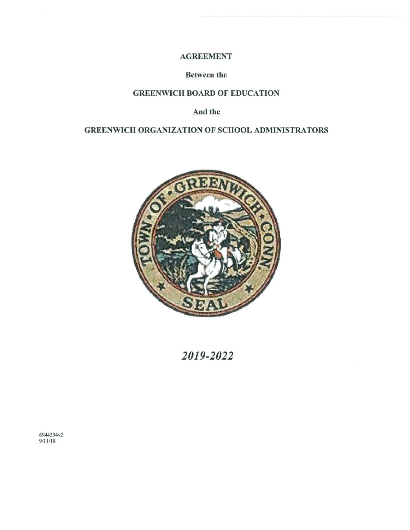## AGREEMENT

## Between the

## GREENWICH BOARD OF EDUCATION

And the

## GREENWICH ORGANIZATION OF SCHOOL ADMINISTRATORS



*2019-2022* 

6944394v2 9/11/18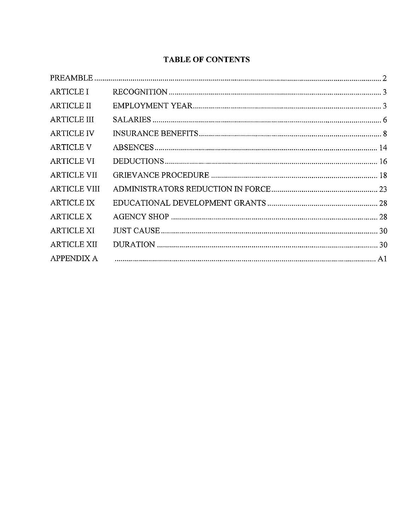# **TABLE OF CONTENTS**

| <b>ARTICLE I</b>    |  |
|---------------------|--|
| <b>ARTICLE II</b>   |  |
| <b>ARTICLE III</b>  |  |
| <b>ARTICLE IV</b>   |  |
| <b>ARTICLE V</b>    |  |
| <b>ARTICLE VI</b>   |  |
| <b>ARTICLE VII</b>  |  |
| <b>ARTICLE VIII</b> |  |
| <b>ARTICLE IX</b>   |  |
| <b>ARTICLE X</b>    |  |
| <b>ARTICLE XI</b>   |  |
| <b>ARTICLE XII</b>  |  |
| <b>APPENDIX A</b>   |  |
|                     |  |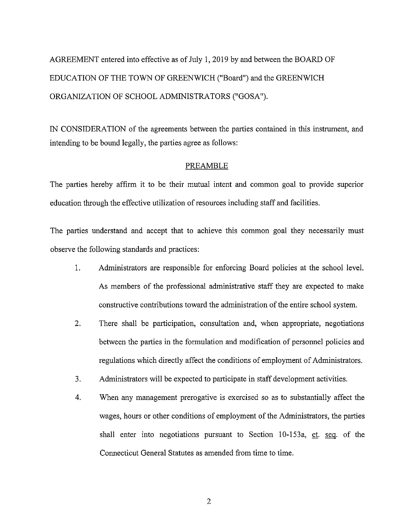AGREEMENT entered into effective as of July I, 2019 by and between the BOARD OF EDUCATION OF THE TOWN OF GREENWICH ("Board") and the GREENWICH ORGANIZATION OF SCHOOL ADMINISTRATORS ("GOSA").

IN CONSIDERATION of the agreements between the parties contained in this instrument, and intending to be bound legally, the parties agree as follows:

#### PREAMBLE

The parties hereby affirm it to be their mutual intent and common goal to provide superior education through the effective utilization of resources including staff and facilities.

The parties understand and accept that to achieve this common goal they necessarily must observe the following standards and practices:

- 1. Administrators are responsible for enforcing Board policies at the school level. As members of the professional administrative staff they are expected to make constructive contributions toward the administration of the entire school system.
- 2. There shall be participation, consultation and, when appropriate, negotiations between the parties in the formulation and modification of personnel policies and regulations which directly affect the conditions of employment of Administrators.
- 3. Administrators will be expected to participate in staff development activities.
- 4. When any management prerogative is exercised so as to substantially affect the wages, hours or other conditions of employment of the Administrators, the parties shall enter into negotiations pursuant to Section  $10-153a$ , et. seq. of the Connecticut General Statutes as amended from time to time.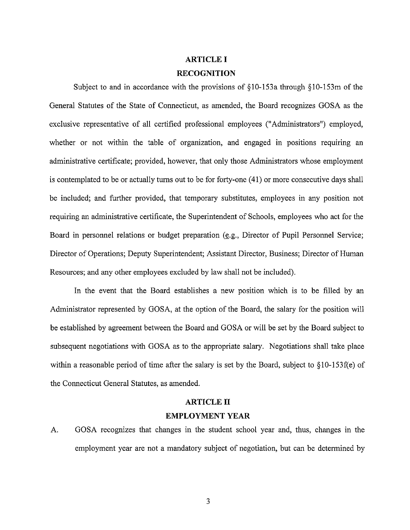#### **ARTICLE I**

#### **RECOGNITION**

Subject to and in accordance with the provisions of §10-153a through §I0-153m of the General Statutes of the State of Connecticut, as amended, the Board recognizes GOSA as the exclusive representative of all certified professional employees ("Administrators") employed, whether or not within the table of organization, and engaged in positions requiring an administrative certificate; provided, however, that only those Administrators whose employment is contemplated to be or actually turns out to be for forty-one (41) or more consecutive days shall be included; and further provided, that temporary substitutes, employees in any position not requiring an administrative certificate, the Superintendent of Schools, employees who act for the Board in personnel relations or budget preparation (e.g., Director of Pupil Personnel Service; Director of Operations; Deputy Superintendent; Assistant Director, Business; Director of Human Resources; and any other employees excluded by law shall not be included).

In the event that the Board establishes a new position which is to be filled by an Administrator represented by GOSA, at the option of the Board, the salary for the position will be established by agreement between the Board and GOSA or will be set by the Board subject to subsequent negotiations with GOSA as to the appropriate salary. Negotiations shall take place within a reasonable period of time after the salary is set by the Board, subject to  $$10-153f(e)$  of the Connecticut General Statutes, as amended.

#### **ARTICLE II**

#### **EMPLOYMENT YEAR**

A. GOSA recognizes that changes in the student school year and, thus, changes in the employment year are not a mandatory subject of negotiation, but can be determined by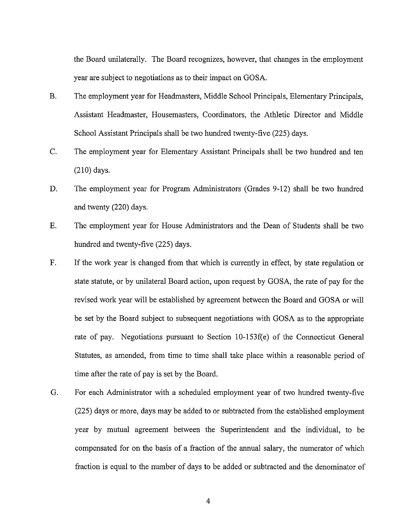the Board unilaterally. The Board recognizes, however, that changes in the employment year are subject to negotiations as to their impact on GOSA.

- B. The employment year for Headmasters, Middle School Principals, Elementary Principals, Assistant Headmaster, Housemasters, Coordinators, the Athletic Director and Middle School Assistant Principals shall be two hundred twenty-five (225) days.
- C. The employment year for Elementary Assistant Principals shall be two hundred and ten (210) days.
- D. The employment year for Program Administrators (Grades 9-12) shall be two hundred and twenty (220) days.
- E. The employment year for House Administrators and the Dean of Students shall be two hundred and twenty-five (225) days.
- F. If the work year is changed from that which is currently in effect, by state regulation or state statute, or by unilateral Board action, upon request by GOSA, the rate of pay for the revised work year will be established by agreement between the Board and GOSA or will be set by the Board subject to subsequent negotiations with GOSA as to the appropriate rate of pay. Negotiations pursuant to Section 10-153f(e) of the Connecticut General Statutes, as amended, from time to time shall take place within a reasonable period of time after the rate of pay is set by the Board.
- G. For each Administrator with a scheduled employment year of two hundred twenty-five (225) days or more, days may be added to or subtracted from the established employment year by mutual agreement between the Superintendent and the individual, to be compensated for on the basis of a fraction of the annual salary, the numerator of which fraction is equal to the number of days to be added or subtracted and the denominator of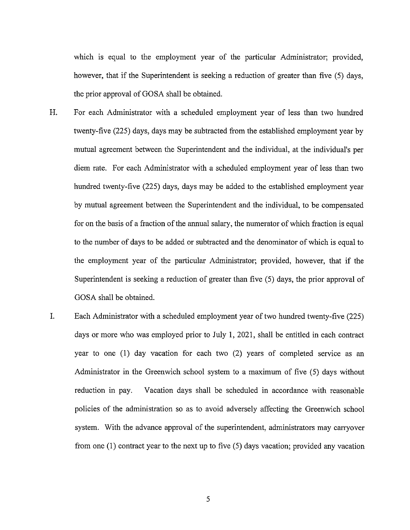which is equal to the employment year of the particular Administrator; provided, however, that if the Superintendent is seeking a reduction of greater than five (5) days, the prior approval of GOSA shall be obtained.

- H. For each Administrator with a scheduled employment year of less than two hundred twenty-five (225) days, days may be subtracted from the established employment year by mutual agreement between the Superintendent and the individual, at the individual's per diem rate. For each Administrator with a scheduled employment year of less than two hundred twenty-five (225) days, days may be added to the established employment year by mutual agreement between the Superintendent and the individual, to be compensated for on the basis of a fraction of the annual salary, the numerator of which fraction is equal to the number of days to be added or subtracted and the denominator of which is equal to the employment year of the particular Administrator; provided, however, that if the Superintendent is seeking a reduction of greater than five (5) days, the prior approval of GOSA shall be obtained.
- I. Each Administrator with a scheduled employment year of two hundred twenty-five (225) days or more who was employed prior to July I, 2021, shall be entitled in each contract year to one (1) day vacation for each two (2) years of completed service as an Administrator in the Greenwich school system to a maximum of five (5) days without reduction in pay. Vacation days shall be scheduled in accordance with reasonable policies of the administration so as to avoid adversely affecting the Greenwich school system. With the advance approval of the superintendent, administrators may carryover from one (1) contract year to the next up to five (5) days vacation; provided any vacation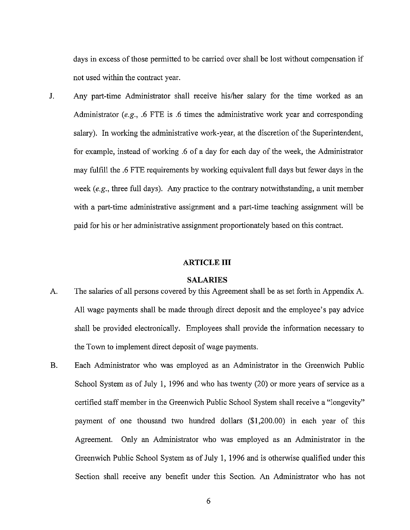days in excess of those permitted to be carried over shall be lost without compensation if not used within the contract year.

J. Any part-time Administrator shall receive his/her salary for the time worked as an Administrator *(e.g.,* .6 FTE is .6 times the administrative work year and conesponding salary). In working the administrative work-year, at the discretion of the Superintendent, for example, instead of working .6 of a day for each day of the week, the Administrator may fulfill the .6 FTE requirements by working equivalent full days but fewer days in the week *(e.g.,* three full days). Any practice to the contrary notwithstanding, a unit member with a part-time administrative assignment and a part-time teaching assigmnent will be paid for his or her administrative assigmnent proportionately based on this contract.

#### **ARTICLE III**

#### **SALARIES**

- A. The salaries of all persons covered by this Agreement shall be as set forth in Appendix A. All wage payments shall be made through direct deposit and the employee's pay advice shall be provided electronically. Employees shall provide the information necessary to the Town to implement direct deposit of wage payments.
- B. Each Administrator who was employed as an Administrator in the Greenwich Public School System as of July I, 1996 and who has twenty (20) or more years of service as a certified staff member in the Greenwich Public School System shall receive a "longevity" payment of one thousand two hundred dollars (\$1,200.00) in each year of this Agreement. Only an Administrator who was employed as an Administrator in the Greenwich Public School System as of July I, 1996 and is otherwise qualified under this Section shall receive any benefit under this Section. An Administrator who has not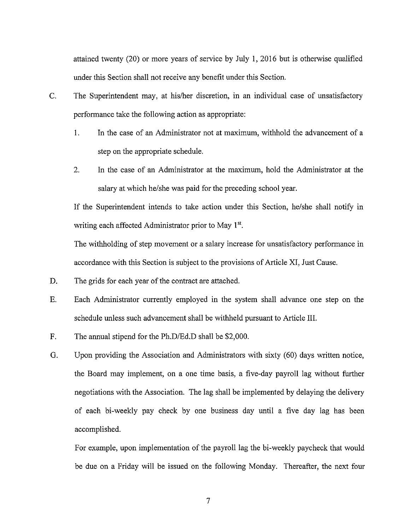attained twenty (20) or more years of service by July 1, 2016 but is otherwise qualified under this Section shall not receive any benefit under this Section.

- C. The Superintendent may, at his/her discretion, in an individual case of unsatisfactory performance take the following action as appropriate:
	- 1. In the case of an Administrator not at maximum, withhold the advancement of a step on the appropriate schedule.
	- 2. In the case of an Administrator at the maximum, hold the Administrator at the salary at which he/she was paid for the preceding school year.

If the Superintendent intends to take action under this Section, he/she shall notify in writing each affected Administrator prior to May 1<sup>st</sup>.

The withholding of step movement or a salary increase for unsatisfactory performance in accordance with this Section is subject to the provisions of Article XI, Just Cause.

- D. The grids for each year of the contract are attached.
- E. Each Administrator currently employed in the system shall advance one step on the schedule unless such advancement shall be withheld pursuant to Article III.
- F. The annual stipend for the Ph.D/Ed.D shall be \$2,000.
- G. Upon providing the Association and Administrators with sixty (60) days written notice, the Board may implement, on a one time basis, a five-day payroll lag without further negotiations with the Association. The lag shall be implemented by delaying the delivery of each bi-weekly pay check by one business day until a five day lag has been accomplished.

For example, upon implementation of the payroll lag the bi-weekly paycheck that would be due on a Friday will be issued on the following Monday. Thereafter, the next four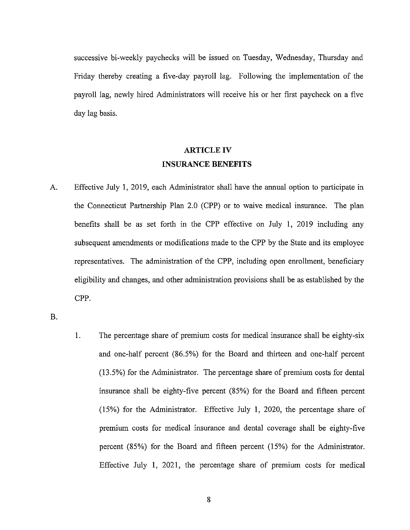successive bi-weekly paychecks will be issued on Tuesday, Wednesday, Thursday and Friday thereby creating a five-day payroll lag. Following the implementation of the payroll lag, newly hired Administrators will receive his or her first paycheck on a five day lag basis.

## **ARTICLE IV INSURANCE BENEFITS**

A. Effective July 1, 2019, each Administrator shall have the annual option to participate in the Connecticut Partnership Plan 2.0 (CPP) or to waive medical insurance. The plan benefits shall be as set forth in the CPP effective on July 1, 2019 including any subsequent amendments or modifications made to the CPP by the State and its employee representatives. The administration of the CPP, including open enrollment, beneficiary eligibility and changes, and other administration provisions shall be as established by the CPP.

B.

l. The percentage share of premium costs for medical insurance shall be eighty-six and one-half percent (86.5%) for the Board and thirteen and one-half percent (!3.5%) for the Administrator. The percentage share of premium costs for dental insurance shall be eighty-five percent (85%) for the Board and fifteen percent (15%) for the Administrator. Effective July l, 2020, the percentage share of premium costs for medical insurance and dental coverage shall be eighty-five percent (85%) for the Board and fifteen percent (15%) for the Administrator. Effective July 1, 2021, the percentage share of premium costs for medical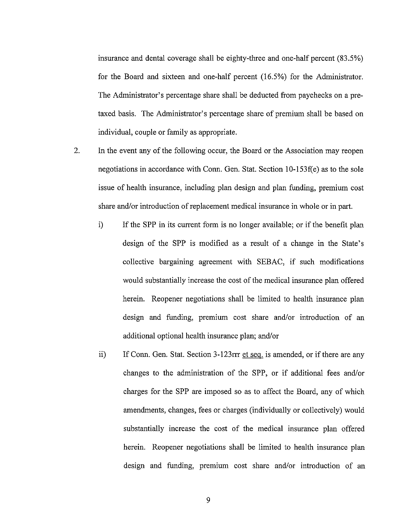insurance and dental coverage shall be eighty-three and one-half percent (83.5%) for the Board and sixteen and one-half percent (16.5%) for the Administrator. The Administrator's percentage share shall be deducted from paychecks on a pretaxed basis. The Administrator's percentage share of premium shall be based on individual, couple or family as appropriate.

- 2. In the event any of the following occur, the Board or the Association may reopen negotiations in accordance with Conn. Gen. Stat. Section  $10-153f(e)$  as to the sole issue of health insurance, including plan design and plan funding, premium cost share and/or introduction of replacement medical insurance in whole or in part.
	- i) If the SPP in its current form is no longer available; or if the benefit plan design of the SPP is modified as a result of a change in the State's collective bargaining agreement with SEBAC, if such modifications would substantially increase the cost of the medical insurance plan offered herein. Reopener negotiations shall be limited to health insurance plan design and funding, premium cost share and/or introduction of an additional optional health insurance plan; and/or
	- ii) If Conn. Gen. Stat. Section 3-123rrr et seg. is amended, or if there are any changes to the administration of the SPP, or if additional fees and/or charges for the SPP are imposed so as to affect the Board, any of which amendments, changes, fees or charges (individually or collectively) would substantially increase the cost of the medical insurance plan offered herein. Reopener negotiations shall be limited to health insurance plan design and funding, premium cost share and/or introduction of an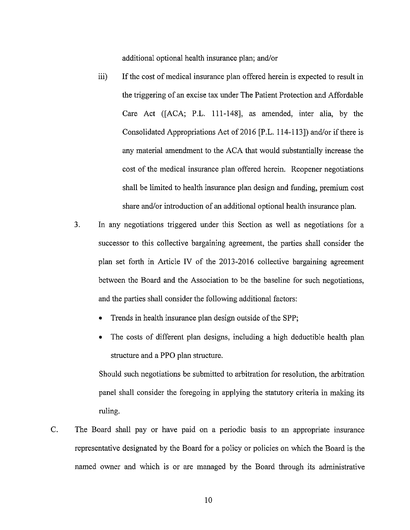additional optional health insurance plan; and/or

- iii) If the cost of medical insurance plan offered herein is expected to result in the triggering of an excise tax under The Patient Protection and Affordable Care Act ([ACA; P.L. 111-148], as amended, inter alia, by the Consolidated Appropriations Act of 2016 [P.L. 114-113]) and/or if there is any material amendment to the ACA that would substantially increase the cost of the medical insurance plan offered herein. Reopener negotiations shall be limited to health insurance plan design and funding, premium cost share and/or introduction of an additional optional health insurance plan.
- 3. In any negotiations triggered under this Section as well as negotiations for a successor to this collective bargaining agreement, the parties shall consider the plan set forth in Article IV of the 2013-2016 collective bargaining agreement between the Board and the Association to be the baseline for such negotiations, and the parties shall consider the following additional factors:
	- Trends in health insurance plan design outside of the SPP;
	- The costs of different plan designs, including a high deductible health plan structure and a PPO plan structure.

Should such negotiations be submitted to arbitration for resolution, the arbitration panel shall consider the foregoing in applying the statutory criteria in making its ruling.

C. The Board shall pay or have paid on a periodic basis to an appropriate insurance representative designated by the Board for a policy or policies on which the Board is the named owner and which is or are managed by the Board through its administrative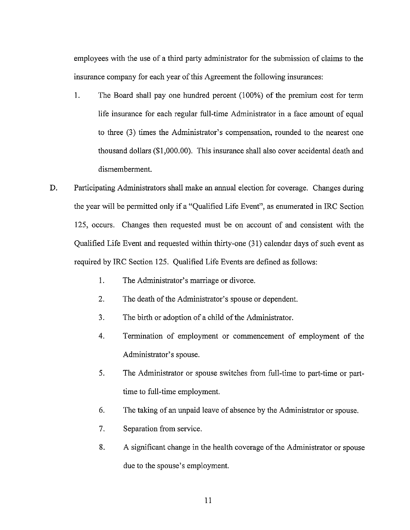employees with the use of a third party administrator for the submission of claims to the insurance company for each year of this Agreement the following insurances:

- 1. The Board shall pay one hundred percent (100%) of the premium cost for term life insurance for each regular full-time Administrator in a face amount of equal to three (3) times the Administrator's compensation, rounded to the nearest one thousand dollars (\$1,000.00). This insurance shall also cover accidental death and dismemberment.
- D. Participating Administrators shall make an annual election for coverage. Changes during the year will be permitted only if a "Qualified Life Event", as enumerated in IRC Section 125, occurs. Changes then requested must be on account of and consistent with the Qualified Life Event and requested within thirty-one (31) calendar days of such event as required by IRC Section 125. Qualified Life Events are defined as follows:
	- 1. The Administrator's marriage or divorce.
	- 2. The death of the Administrator's spouse or dependent.
	- 3. The birth or adoption of a child of the Administrator.
	- 4. Termination of employment or commencement of employment of the Administrator's spouse.
	- 5. The Administrator or spouse switches from full-time to patt-time or parttime to full-time employment.
	- 6. The taking of an unpaid leave of absence by the Administrator or spouse.
	- 7. Separation from service.
	- 8. A significant change in the health coverage of the Administrator or spouse due to the spouse's employment.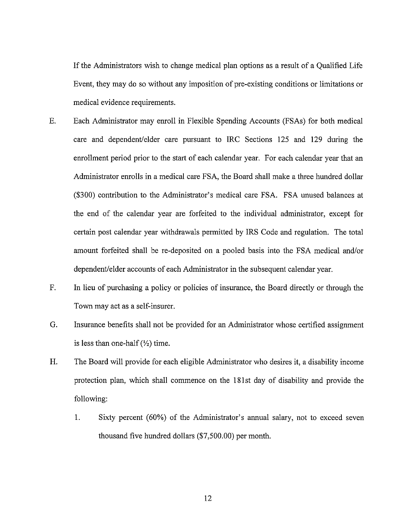If the Administrators wish to change medical plan options as a result of a Qualified Life Event, they may do so without any imposition of pre-existing conditions or limitations or medical evidence requirements.

- E. Each Administrator may enroll in Flexible Spending Accounts (FSAs) for both medical care and dependent/elder care pursuant to IRC Sections 125 and 129 during the enrollment period prior to the start of each calendar year. For each calendar year that an Administrator enrolls in a medical care FSA, the Board shall make a three hundred dollar (\$300) contribution to the Administrator's medical care FSA. FSA unused balances at the end of the calendar year are forfeited to the individual administrator, except for certain post calendar year withdrawals permitted by IRS Code and regulation. The total amount forfeited shall be re-deposited on a pooled basis into the FSA medical and/or dependent/elder accounts of each Administrator in the subsequent calendar year.
- F. In lieu of purchasing a policy or policies of insurance, the Board directly or through the Town may act as a self-insurer.
- G. Insurance benefits shall not be provided for an Administrator whose certified assignment is less than one-half  $(\frac{1}{2})$  time.
- H. The Board will provide for each eligible Administrator who desires it, a disability income protection plan, which shall commence on the 181st day of disability and provide the following:
	- 1. Sixty percent (60%) of the Administrator's annual salary, not to exceed seven thousand five hundred dollars (\$7,500.00) per month.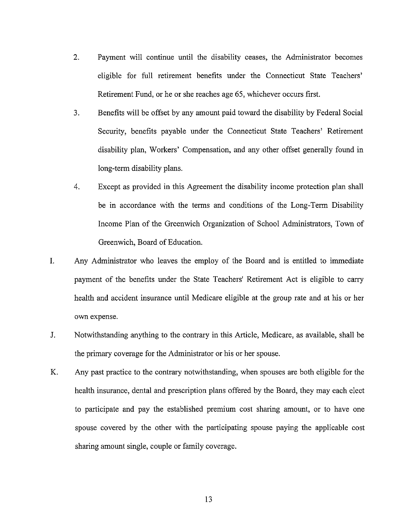- 2. Payment will continue until the disability ceases, the Administrator becomes eligible for full retirement benefits under the Connecticut State Teachers' Retirement Fund, or he or she reaches age 65, whichever occurs first.
- 3. Benefits will be offset by any amount paid toward the disability by Federal Social Security, benefits payable under the Connecticut State Teachers' Retirement disability plan, Workers' Compensation, and any other offset generally found in long-term disability plans.
- 4. Except as provided in this Agreement the disability income protection plan shall be in accordance with the terms and conditions of the Long-Term Disability Income Plan of the Greenwich Organization of School Administrators, Town of Greenwich, Board of Education.
- I. Any Administrator who leaves the employ of the Board and is entitled to immediate payment of the benefits under the State Teachers' Retirement Act is eligible to carry health and accident insurance until Medicare eligible at the group rate and at his or her own expense.
- J. Notwithstanding anything to the contrary in this Article, Medicare, as available, shall be the primary coverage for the Administrator or his or her spouse.
- K. Any past practice to the contrary notwithstanding, when spouses are both eligible for the health insurance, dental and prescription plans offered by the Board, they may each elect to participate and pay the established premium cost sharing amount, or to have one spouse covered by the other with the participating spouse paying the applicable cost sharing amount single, couple or family coverage.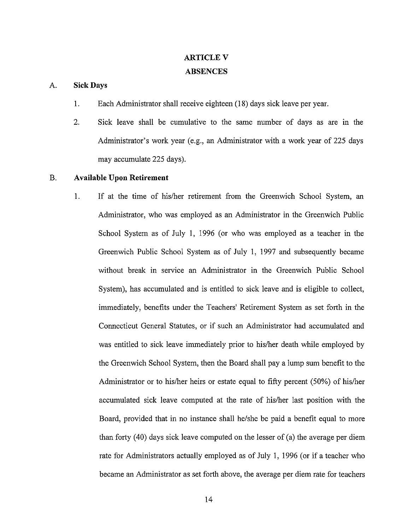# **ARTICLEV ABSENCES**

## A. **Sick Days**

- 1. Each Administrator shall receive eighteen (18) days sick leave per year.
- 2. Sick leave shall be cumulative to the same number of days as are in the Administrator's work year (e.g., an Administrator with a work year of 225 days may accumulate 225 days).

## B. **Available Upon Retirement**

1. If at the time of his/her retirement from the Greenwich School System, an Administrator, who was employed as an Administrator in the Greenwich Public School System as of July 1, 1996 (or who was employed as a teacher in the Greenwich Public School System as of July 1, 1997 and subsequently became without break in service an Administrator in the Greenwich Public School System), has accumulated and is entitled to sick leave and is eligible to collect, immediately, benefits under the Teachers' Retirement System as set forth in the Connecticut General Statutes, or if such an Administrator had accumulated and was entitled to sick leave immediately prior to his/her death while employed by the Greenwich School System, then the Board shall pay a lump sum benefit to the Administrator or to his/her heirs or estate equal to fifty percent (50%) of his/her accumulated sick leave computed at the rate of his/her last position with the Board, provided that in no instance shall he/she be paid a benefit equal to more than forty (40) days sick leave computed on the lesser of (a) the average per diem rate for Administrators actually employed as of July 1, 1996 (or if a teacher who became an Administrator as set forth above, the average per diem rate for teachers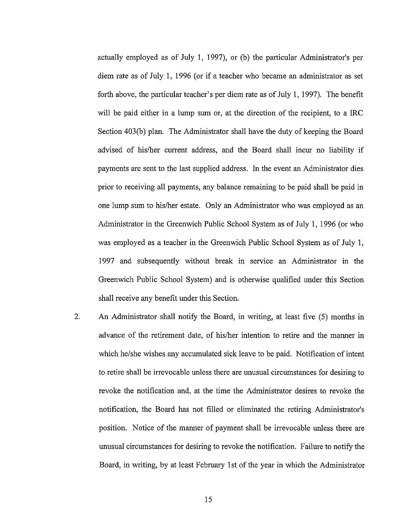actually employed as of July I, 1997), or (b) the particular Administrator's per diem rate as of July I, 1996 (or if a teacher who became an administrator as set forth above, the particular teacher's per diem rate as of July 1, 1997). The benefit will be paid either in a lump sum or, at the direction of the recipient, to a IRC Section 403(b) plan. The Administrator shall have the duty of keeping the Board advised of his/her current address, and the Board shall incur no liability if payments are sent to the last supplied address. In the event an Administrator dies prior to receiving all payments, any balance remaining to be paid shall be paid in one lump sum to his/her estate. Only an Administrator who was employed as an Administrator in the Greenwich Public School System as of July 1, 1996 (or who was employed as a teacher in the Greenwich Public School System as of July 1, 1997 and subsequently without break in service an Administrator in the Greenwich Public School System) and is otherwise qualified under this Section shall receive any benefit under this Section.

2. An Administrator shall notify the Board, in writing, at least five (5) months in advance of the retirement date, of his/her intention to retire and the manner in which he/she wishes any accumulated sick leave to be paid. Notification of intent to retire shall be irrevocable unless there are unusual circumstances for desiring to revoke the notification and, at the time the Administrator desires to revoke the notification, the Board has not filled or eliminated the retiring Administrator's position. Notice of the manner of payment shall be irrevocable unless there are unusual circumstances for desiring to revoke the notification. Failure to notify the Board, in writing, by at least February 1st of the year in which the Administrator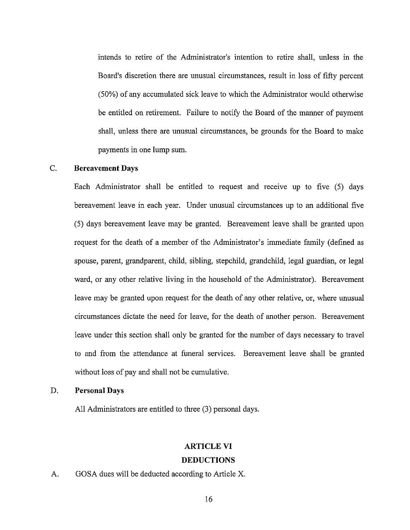intends to retire of the Administrator's intention to retire shall, unless in the Board's discretion there are unusual circumstances, result in loss of fifty percent (50%) of any accumulated sick leave to which the Administrator would otherwise be entitled on retirement. Failure to notify the Board of the manner of payment shall, unless there are unusual circumstances, be grounds for the Board to make payments in one lump sum.

## C. **Bereavement Days**

Each Administrator shall be entitled to request and receive up to five (5) days bereavement leave in each year. Under unusual circumstances up to an additional five (5) days bereavement leave may be granted. Bereavement leave shall be granted upon request for the death of a member of the Administrator's immediate family (defined as spouse, parent, grandparent, child, sibling, stepchild, grandchild, legal guardian, or legal ward, or any other relative living in the household of the Administrator). Bereavement leave may be granted upon request for the death of any other relative, or, where unusual circumstances dictate the need for leave, for the death of another person. Bereavement leave under this section shall only be granted for the number of days necessary to travel to and from the attendance at funeral services. Bereavement leave shall be granted without loss of pay and shall not be cumulative.

#### D. **Personal Days**

All Administrators are entitled to three (3) personal days.

## **ARTICLE VI**

#### **DEDUCTIONS**

## A. GOSA dues will be deducted according to Article X.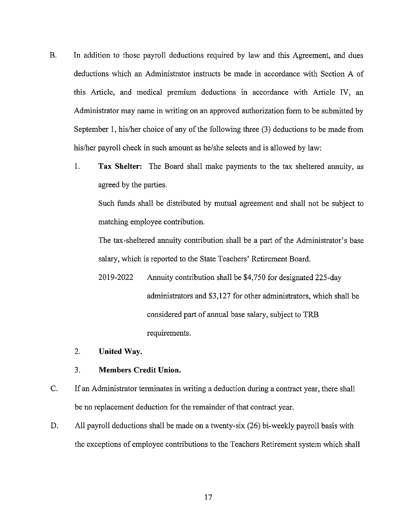- B. In addition to those payroll deductions required by law and this Agreement, and dues deductions which an Administrator instructs be made in accordance with Section A of this Article, and medical premium deductions in accordance with Article IV, an Administrator may name in writing on an approved authorization form to be submitted by September 1, his/her choice of any of the following three (3) deductions to be made from his/her payroll check in such amount as he/she selects and is allowed by law:
	- 1. **Tax Shelter:** The Board shall make payments to the tax sheltered annuity, as agreed by the parties.

Such funds shall be distributed by mutual agreement and shall not be subject to matching employee contribution.

The tax-sheltered annuity contribution shall be a part of the Administrator's base salary, which is reported to the State Teachers' Retirement Board.

- 2019-2022 Annuity contribution shall be \$4,750 for designated 225-day administrators and \$3,127 for other administrators, which shall be considered part of armual base salary, subject to TRB requirements.
- 2. **United Way.**
- 3. **Members Credit Union.**
- C. If an Administrator terminates in writing a deduction during a contract year, there shall be no replacement deduction for the remainder of that contract year.
- D. All payroll deductions shall be made on a twenty-six (26) bi-weekly payroll basis with the exceptions of employee contributions to the Teachers Retirement system which shall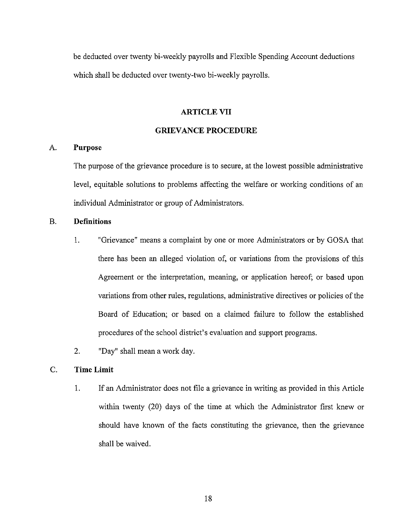be deducted over twenty bi-weekly payrolls and Flexible Spending Account deductions which shall be deducted over twenty-two bi-weekly payrolls.

#### **ARTICLE VII**

## **GRIEVANCE PROCEDURE**

## A. **Purpose**

The purpose of the grievance procedure is to secure, at the lowest possible administrative level, equitable solutions to problems affecting the welfare or working conditions of an individual Administrator or group of Administrators.

## B. **Definitions**

- 1. "Grievance" means a complaint by one or more Administrators or by GOSA that there has been an alleged violation of, or variations from the provisions of this Agreement or the interpretation, meaning, or application hereof; or based upon variations from other rules, regulations, administrative directives or policies of the Board of Education; or based on a claimed failure to follow the established procedures of the school district's evaluation and support programs.
- 2. "Day" shall mean a work day.

## C. **Time Limit**

1. If an Administrator does not file a grievance in writing as provided in this Article within twenty (20) days of the time at which the Administrator first knew or should have known of the facts constituting the grievance, then the grievance shall be waived.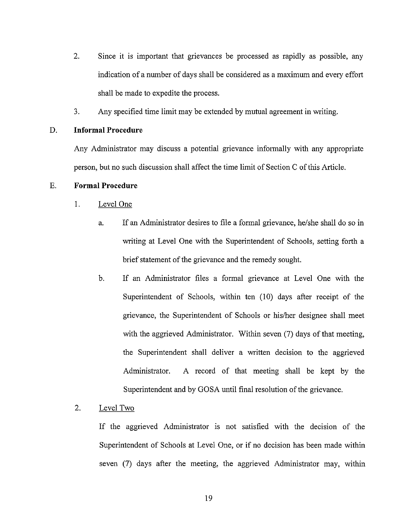- 2. Since it is important that grievances be processed as rapidly as possible, any indication of a number of days shall be considered as a maximum and every effort shall be made to expedite the process.
- 3. Any specified time limit may be extended by mutual agreement in writing.

## D. **Informal Procedure**

Any Administrator may discuss a potential grievance informally with any appropriate person, but no such discussion shall affect the time limit of Section C of this Article.

## E. **Formal Procedure**

- 1. Level One
	- a. If an Administrator desires to file a formal grievance, he/she shall do so in writing at Level One with the Superintendent of Schools, setting forth a brief statement of the grievance and the remedy sought.
	- b. If an Administrator files a formal grievance at Level One with the Superintendent of Schools, within ten (10) days after receipt of the grievance, the Superintendent of Schools or his/her designee shall meet with the aggrieved Administrator. Within seven (7) days of that meeting, the Superintendent shall deliver a written decision to the aggrieved Administrator. A record of that meeting shall be kept by the Superintendent and by GOSA until final resolution of the grievance.

## 2. Level Two

If the aggrieved Administrator is not satisfied with the decision of the Superintendent of Schools at Level One, or if no decision has been made within seven (7) days after the meeting, the aggrieved Administrator may, within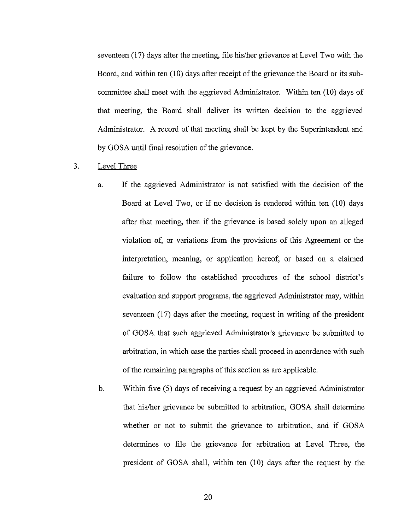seventeen (17) days after the meeting, file his/her grievance at Level Two with the Board, and within ten (10) days after receipt of the grievance the Board or its subcommittee shall meet with the aggrieved Administrator. Within ten (10) days of that meeting, the Board shall deliver its written decision to the aggrieved Administrator. A record of that meeting shall be kept by the Superintendent and by GOSA until final resolution of the grievance.

- 3. Level Three
	- a. If the aggrieved Administrator is not satisfied with the decision of the Board at Level Two, or if no decision is rendered within ten (10) days after that meeting, then if the grievance is based solely upon an alleged violation of, or variations from the provisions of this Agreement or the interpretation, meaning, or application hereof, or based on a claimed failure to follow the established procedures of the school district's evaluation and support programs, the aggrieved Administrator may, within seventeen (17) days after the meeting, request in writing of the president of GOSA that such aggrieved Administrator's grievance be submitted to arbitration, in which case the parties shall proceed in accordance with such of the remaining paragraphs of this section as are applicable.
	- b. Within five (5) days of receiving a request by an aggrieved Administrator that his/her grievance be submitted to arbitration, GOSA shall determine whether or not to submit the grievance to arbitration, and if GOSA determines to file the grievance for arbitration at Level Three, the president of GOSA shall, within ten  $(10)$  days after the request by the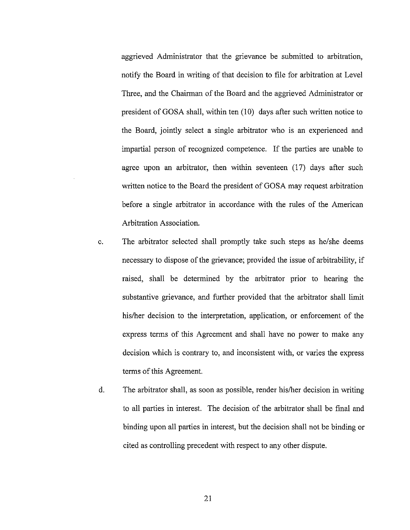aggrieved Administrator that the grievance be submitted to arbitration, notify the Board in writing of that decision to file for arbitration at Level Three, and the Chairman of the Board and the aggrieved Administrator or president of GOSA shall, within ten (10) days after such written notice to the Board, jointly select a single arbitrator who is an experienced and impartial person of recognized competence. If the parties are unable to agree upon an arbitrator, then within seventeen (17) days after such written notice to the Board the president of GOSA may request arbitration before a single arbitrator in accordance with the rules of the American Arbitration Association.

- c. The arbitrator selected shall promptly take such steps as he/she deems necessary to dispose of the grievance; provided the issue of arbitrability, if raised, shall be determined by the arbitrator prior to hearing the substantive grievance, and further provided that the arbitrator shall limit his/her decision to the interpretation, application, or enforcement of the express terms of this Agreement and shall have no power to make any decision which is contrary to, and inconsistent with, or varies the express terms of this Agreement.
- d. The arbitrator shall, as soon as possible, render his/her decision in writing to all parties in interest. The decision of the arbitrator shall be final and binding upon all parties in interest, but the decision shall not be binding or cited as controlling precedent with respect to any other dispute.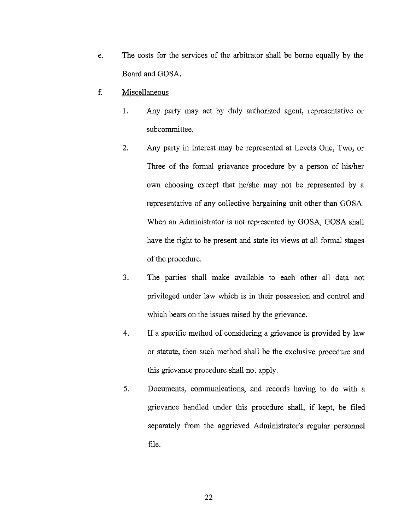- e. The costs for the services of the arbitrator shall be borne equally by the Board and GOSA.
- f. Miscellaneous
	- 1. Any party may act by duly authorized agent, representative or subcommittee.
	- 2. Any party in interest may be represented at Levels One, Two, or Three of the formal grievance procedure by a person of his/her own choosing except that he/she may not be represented by a representative of any collective bargaining unit other than GOSA. When an Administrator is not represented by GOSA, GOSA shall have the right to be present and state its views at all formal stages of the procedure.
	- 3. The parties shall make available to each other all data not privileged under law which is in their possession and control and which bears on the issues raised by the grievance.
	- 4. If a specific method of considering a grievance is provided by law or statute, then such method shall be the exclusive procedure and this grievance procedure shall not apply.
	- 5. Documents, communications, and records having to do with a grievance handled under this procedure shall, if kept, be filed separately from the aggrieved Administrator's regular personnel file.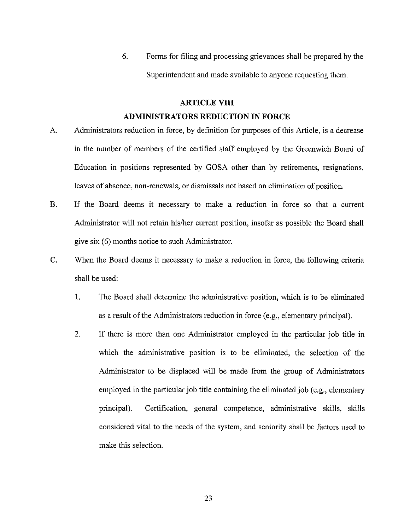6. Forms for filing and processing grievances shall be prepared by the Superintendent and made available to anyone requesting them.

#### **ARTICLE VIII**

## **ADMINISTRATORS REDUCTION IN FORCE**

- A. Administrators reduction in force, by definition for purposes of this Article, is a decrease in the number of members of the certified staff employed by the Greenwich Board of Education in positions represented by GOSA other than by retirements, resignations, leaves of absence, non-renewals, or dismissals not based on elimination of position.
- B. If the Board deems it necessary to make a reduction in force so that a current Administrator will not retain his/her current position, insofar as possible the Board shall give six (6) months notice to such Administrator.
- C. When the Board deems it necessary to make a reduction in force, the following criteria shall be used:
	- 1. The Board shall determine the administrative position, which is to be eliminated as a result of the Administrators reduction in force (e.g., elementary principal).
	- 2. If there is more than one Administrator employed in the particular job title in which the administrative position is to be eliminated, the selection of the Administrator to be displaced will be made from the group of Administrators employed in the particular job title containing the eliminated job (e.g., elementary principal). Certification, general competence, administrative skills, skills considered vital to the needs of the system, and seniority shall be factors used to make this selection.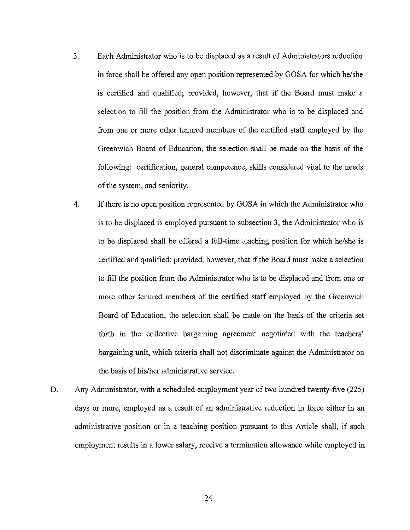- 3. Each Administrator who is to be displaced as a result of Administrators reduction in force shall be offered any open position represented by GOSA for which he/she is certified and qualified; provided, however, that if the Board must make a selection to fill the position from the Administrator who is to be displaced and from one or more other tenured members of the certified staff employed by the Greenwich Board of Education, the selection shall be made on the basis of the following: certification, general competence, skills considered vital to the needs of the system, and seniority.
- 4. Ifthere is no open position represented by GOSA in which the Administrator who is to be displaced is employed pursuant to subsection 3, the Administrator who is to be displaced shall be offered a full-time teaching position for which he/she is certified and qualified; provided, however, that if the Board must make a selection to fill the position from the Administrator who is to be displaced and from one or more other tenured members of the certified staff employed by the Greenwich Board of Education, the selection shall be made on the basis of the criteria set forth in the collective bargaining agreement negotiated with the teachers' bargaining unit, which criteria shall not discriminate against the Administrator on the basis of his/her administrative service.
- D. Any Administrator, with a scheduled employment year of two hundred twenty-five (225) days or more, employed as a result of an administrative reduction in force either in an administrative position or in a teaching position pursuant to this Article shall, if such employment results in a lower salary, receive a termination allowance while employed in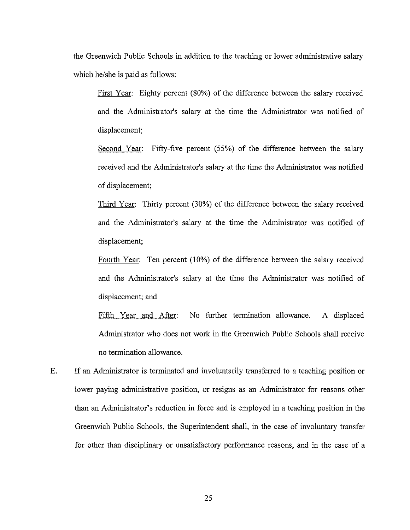the Greenwich Public Schools in addition to the teaching or lower administrative salary which he/she is paid as follows:

First Year: Eighty percent (80%) of the difference between the salary received and the Administrator's salary at the time the Administrator was notified of displacement;

Second Year: Fifty-five percent (55%) of the difference between the salary received and the Administrator's salary at the time the Administrator was notified of displacement;

Third Year: Thirty percent (30%) of the difference between the salary received and the Administrator's salary at the time the Administrator was notified of displacement;

Fourth Year: Ten percent (10%) of the difference between the salary received and the Administrator's salary at the time the Administrator was notified of displacement; and

Fifth Year and After: No further termination allowance. A displaced Administrator who does not work in the Greenwich Public Schools shall receive no termination allowance.

E. If an Administrator is terminated and involuntarily transferred to a teaching position or lower paying administrative position, or resigns as an Administrator for reasons other than an Administrator's reduction in force and is employed in a teaching position in the Greenwich Public Schools, the Superintendent shall, in the case of involuntary transfer for other than disciplinary or unsatisfactory performance reasons, and in the case of a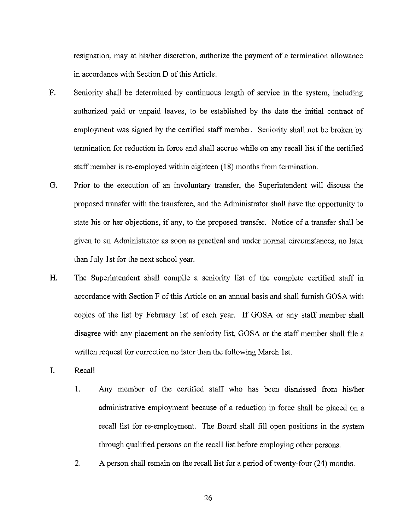resignation, may at his/her discretion, authorize the payment of a termination allowance in accordance with Section D of this Article.

- F. Seniority shall be determined by continuous length of service in the system, including authorized paid or unpaid leaves, to be established by the date the initial contract of employment was signed by the certified staff member. Seniority shall not be broken by termination for reduction in force and shall accrue while on any recall list if the certified staff member is re-employed within eighteen (18) months from termination.
- G. Prior to the execution of an involuntary transfer, the Superintendent will discuss the proposed transfer with the transferee, and the Administrator shall have the opportunity to state his or her objections, if any, to the proposed transfer. Notice of a transfer shall be given to an Administrator as soon as practical and under normal circumstances, no later than July I st for the next school year.
- H. The Superintendent shall compile a seniority list of the complete certified staff in accordance with Section F of this Article on an annual basis and shall furnish GOSA with copies of the list by February 1st of each year. If GOSA or any staff member shall disagree with any placement on the seniority list, GOSA or the staff member shall file a written request for correction no later than the following March 1st.
- I. Recall
	- I. Any member of the certified staff who has been dismissed from his/her administrative employment because of a reduction in force shall be placed on a recall list for re-employment. The Board shall fill open positions in the system through qualified persons on the recall list before employing other persons.
	- 2. A person shall remain on the recall list for a period of twenty-four (24) months.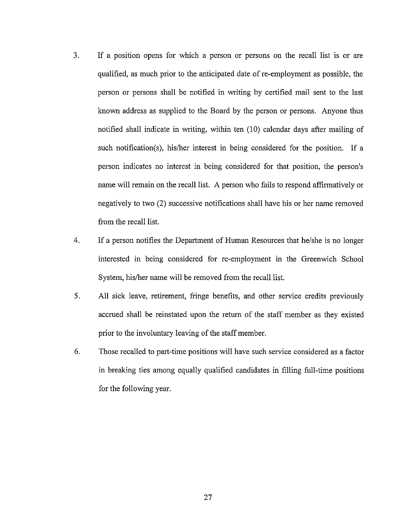- 3. If a position opens for which a person or persons on the recall list is or are qualified, as much prior to the anticipated date of re-employment as possible, the person or persons shall be notified in writing by certified mail sent to the last known address as supplied to the Board by the person or persons. Anyone thus notified shall indicate in writing, within ten  $(10)$  calendar days after mailing of such notification(s), his/her interest in being considered for the position. If a person indicates no interest in being considered for that position, the person's name will remain on the recall list. A person who fails to respond affirmatively or negatively to two (2) successive notifications shall have his or her name removed from the recall list.
- 4. If a person notifies the Department of Human Resources that he/she is no longer interested in being considered for re-employment in the Greenwich School System, his/her name will be removed from the recall list.
- 5. All sick leave, retirement, fringe benefits, and other service credits previously accrued shall be reinstated upon the return of the staff member as they existed prior to the involuntary leaving of the staff member.
- 6. Those recalled to part-time positions will have such service considered as a factor in breaking ties among equally qualified candidates in filling full-time positions for the following year.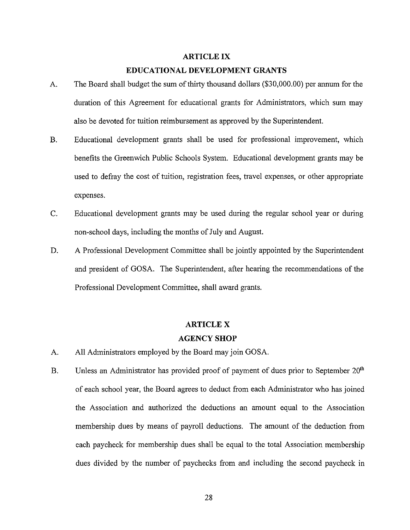## **ARTICLE IX**

#### **EDUCATIONAL DEVELOPMENT GRANTS**

- A. The Board shall budget the sum of thirty thousand dollars (\$30,000.00) per annum for the duration of this Agreement for educational grants for Administrators, which sum may also be devoted for tuition reimbursement as approved by the Superintendent.
- B. Educational development grants shall be used for professional improvement, which benefits the Greenwich Public Schools System. Educational development grants may be used to defray the cost of tuition, registration fees, travel expenses, or other appropriate expenses.
- C. Educational development grants may be used during the regular school year or during non-school days, including the months of July and August.
- D. A Professional Development Committee shall be jointly appointed by the Superintendent and president of GOSA. The Superintendent, after hearing the recommendations of the Professional Development Committee, shall award grants.

## **ARTICLE X AGENCY SHOP**

- A. All Administrators employed by the Board may join GOSA.
- B. Unless an Administrator has provided proof of payment of dues prior to September 20<sup>th</sup> of each school year, the Board agrees to deduct from each Administrator who has joined the Association and authorized the deductions an amount equal to the Association membership dues by means of payroll deductions. The amount of the deduction from each paycheck for membership dues shall be equal to the total Association membership dues divided by the number of paychecks from and including the second paycheck in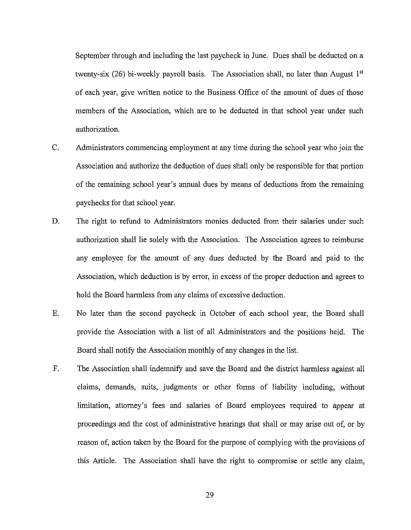September through and including the last paycheck in June. Dues shall be deducted on a twenty-six (26) bi-weekly payroll basis. The Association shall, no later than August  $1<sup>st</sup>$ of each year, give written notice to the Business Office of the amount of dues of those members of the Association, which are to be deducted in that school year under such authorization.

- C. Administrators commencing employment at any time during the school year who join the Association and authorize the deduction of dues shall only be responsible for that portion of the remaining school year's annual dues by means of deductions from the remaining paychecks for that school year.
- D. The right to refund to Administrators monies deducted from their salaries under such authorization shall lie solely with the Association. The Association agrees to reimburse any employee for the amount of any dues deducted by the Board and paid to the Association, which deduction is by error, in excess of the proper deduction and agrees to hold the Board harmless from any claims of excessive deduction.
- E. No later than the second paycheck in October of each school year, the Board shall provide the Association with a list of all Administrators and the positions held. The Board shall notify the Association monthly of any changes in the list.
- F. The Association shall indemnify and save the Board and the district harmless against all claims, demands, suits, judgments or other forms of liability including, without limitation, attorney's fees and salaries of Board employees required to appear at proceedings and the cost of administrative hearings that shall or may arise out of, or by reason of, action taken by the Board for the purpose of complying with the provisions of this Article. The Association shall have the right to compromise or settle any claim,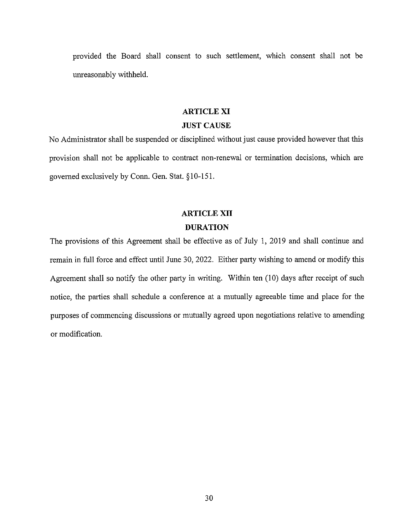provided the Board shall consent to such settlement, which consent shall not be umeasonably withheld.

## **ARTICLE XI**

## **JUST CAUSE**

No Administrator shall be suspended or disciplined without just cause provided however that this provision shall not be applicable to contract non-renewal or termination decisions, which are governed exclusively by Conn. Gen. Stat. § 10-151.

# **ARTICLE XII DURATION**

The provisions of this Agreement shall be effective as of July 1, 2019 and shall continue and remain in full force and effect until June 30, 2022. Either party wishing to amend or modify this Agreement shall so notify the other party in writing. Within ten  $(10)$  days after receipt of such notice, the parties shall schedule a conference at a mutually agreeable time and place for the purposes of commencing discussions or mutually agreed upon negotiations relative to amending or modification.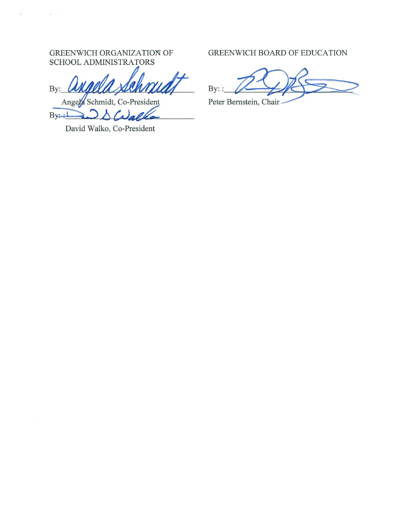GREENWICH ORGANIZATION OF SCHOOL ADMINISTRATORS

 $\frac{1}{4}$ 

By: *Confeder year and pour* 

Angeld Schmidt, Co-President  $By: \frac{1}{1}$  $D\Delta\omega$ alla  $\Rightarrow$ 

David Walko, Co-President

GREENWICH BOARD OF EDUCATION

 $By:$ : Peter Bernstein, Chair -